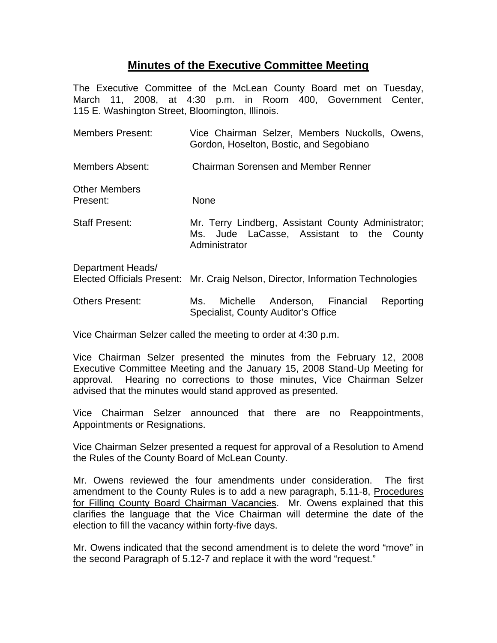## **Minutes of the Executive Committee Meeting**

The Executive Committee of the McLean County Board met on Tuesday, March 11, 2008, at 4:30 p.m. in Room 400, Government Center, 115 E. Washington Street, Bloomington, Illinois.

| <b>Members Present:</b>          | Vice Chairman Selzer, Members Nuckolls, Owens,<br>Gordon, Hoselton, Bostic, and Segobiano                         |
|----------------------------------|-------------------------------------------------------------------------------------------------------------------|
| Members Absent:                  | Chairman Sorensen and Member Renner                                                                               |
| <b>Other Members</b><br>Present: | <b>None</b>                                                                                                       |
| <b>Staff Present:</b>            | Mr. Terry Lindberg, Assistant County Administrator;<br>Ms. Jude LaCasse, Assistant to the County<br>Administrator |
| Department Heads/                | Elected Officials Present: Mr. Craig Nelson, Director, Information Technologies                                   |
| <b>Others Present:</b>           | Michelle Anderson, Financial<br>Reporting<br>Ms.<br>Specialist, County Auditor's Office                           |

Vice Chairman Selzer called the meeting to order at 4:30 p.m.

Vice Chairman Selzer presented the minutes from the February 12, 2008 Executive Committee Meeting and the January 15, 2008 Stand-Up Meeting for approval. Hearing no corrections to those minutes, Vice Chairman Selzer advised that the minutes would stand approved as presented.

Vice Chairman Selzer announced that there are no Reappointments, Appointments or Resignations.

Vice Chairman Selzer presented a request for approval of a Resolution to Amend the Rules of the County Board of McLean County.

Mr. Owens reviewed the four amendments under consideration. The first amendment to the County Rules is to add a new paragraph, 5.11-8, Procedures for Filling County Board Chairman Vacancies. Mr. Owens explained that this clarifies the language that the Vice Chairman will determine the date of the election to fill the vacancy within forty-five days.

Mr. Owens indicated that the second amendment is to delete the word "move" in the second Paragraph of 5.12-7 and replace it with the word "request."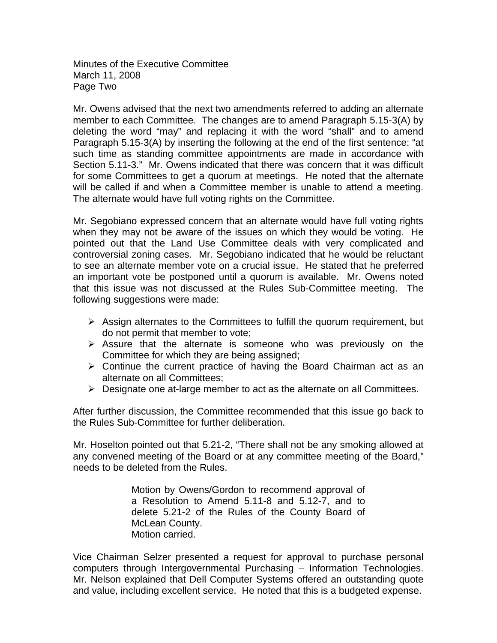Minutes of the Executive Committee March 11, 2008 Page Two

Mr. Owens advised that the next two amendments referred to adding an alternate member to each Committee. The changes are to amend Paragraph 5.15-3(A) by deleting the word "may" and replacing it with the word "shall" and to amend Paragraph 5.15-3(A) by inserting the following at the end of the first sentence: "at such time as standing committee appointments are made in accordance with Section 5.11-3." Mr. Owens indicated that there was concern that it was difficult for some Committees to get a quorum at meetings. He noted that the alternate will be called if and when a Committee member is unable to attend a meeting. The alternate would have full voting rights on the Committee.

Mr. Segobiano expressed concern that an alternate would have full voting rights when they may not be aware of the issues on which they would be voting. He pointed out that the Land Use Committee deals with very complicated and controversial zoning cases. Mr. Segobiano indicated that he would be reluctant to see an alternate member vote on a crucial issue. He stated that he preferred an important vote be postponed until a quorum is available. Mr. Owens noted that this issue was not discussed at the Rules Sub-Committee meeting. The following suggestions were made:

- $\triangleright$  Assign alternates to the Committees to fulfill the quorum requirement, but do not permit that member to vote;
- $\triangleright$  Assure that the alternate is someone who was previously on the Committee for which they are being assigned;
- $\triangleright$  Continue the current practice of having the Board Chairman act as an alternate on all Committees;
- $\triangleright$  Designate one at-large member to act as the alternate on all Committees.

After further discussion, the Committee recommended that this issue go back to the Rules Sub-Committee for further deliberation.

Mr. Hoselton pointed out that 5.21-2, "There shall not be any smoking allowed at any convened meeting of the Board or at any committee meeting of the Board," needs to be deleted from the Rules.

> Motion by Owens/Gordon to recommend approval of a Resolution to Amend 5.11-8 and 5.12-7, and to delete 5.21-2 of the Rules of the County Board of McLean County. Motion carried.

Vice Chairman Selzer presented a request for approval to purchase personal computers through Intergovernmental Purchasing – Information Technologies. Mr. Nelson explained that Dell Computer Systems offered an outstanding quote and value, including excellent service. He noted that this is a budgeted expense.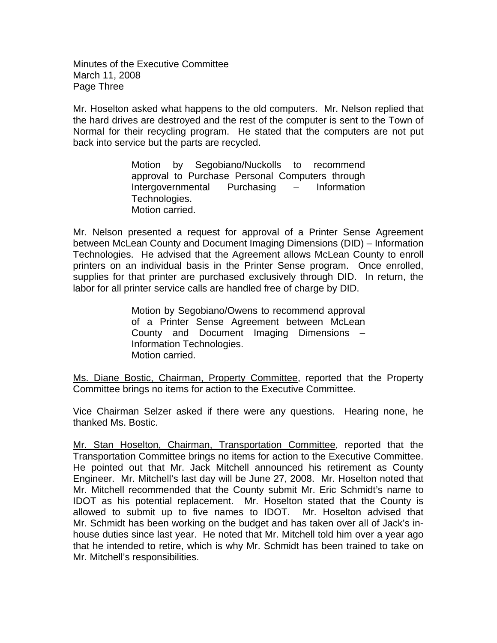Minutes of the Executive Committee March 11, 2008 Page Three

Mr. Hoselton asked what happens to the old computers. Mr. Nelson replied that the hard drives are destroyed and the rest of the computer is sent to the Town of Normal for their recycling program. He stated that the computers are not put back into service but the parts are recycled.

> Motion by Segobiano/Nuckolls to recommend approval to Purchase Personal Computers through Intergovernmental Purchasing – Information Technologies. Motion carried.

Mr. Nelson presented a request for approval of a Printer Sense Agreement between McLean County and Document Imaging Dimensions (DID) – Information Technologies. He advised that the Agreement allows McLean County to enroll printers on an individual basis in the Printer Sense program. Once enrolled, supplies for that printer are purchased exclusively through DID. In return, the labor for all printer service calls are handled free of charge by DID.

> Motion by Segobiano/Owens to recommend approval of a Printer Sense Agreement between McLean County and Document Imaging Dimensions – Information Technologies. Motion carried.

Ms. Diane Bostic, Chairman, Property Committee, reported that the Property Committee brings no items for action to the Executive Committee.

Vice Chairman Selzer asked if there were any questions. Hearing none, he thanked Ms. Bostic.

Mr. Stan Hoselton, Chairman, Transportation Committee, reported that the Transportation Committee brings no items for action to the Executive Committee. He pointed out that Mr. Jack Mitchell announced his retirement as County Engineer. Mr. Mitchell's last day will be June 27, 2008. Mr. Hoselton noted that Mr. Mitchell recommended that the County submit Mr. Eric Schmidt's name to IDOT as his potential replacement. Mr. Hoselton stated that the County is allowed to submit up to five names to IDOT. Mr. Hoselton advised that Mr. Schmidt has been working on the budget and has taken over all of Jack's inhouse duties since last year. He noted that Mr. Mitchell told him over a year ago that he intended to retire, which is why Mr. Schmidt has been trained to take on Mr. Mitchell's responsibilities.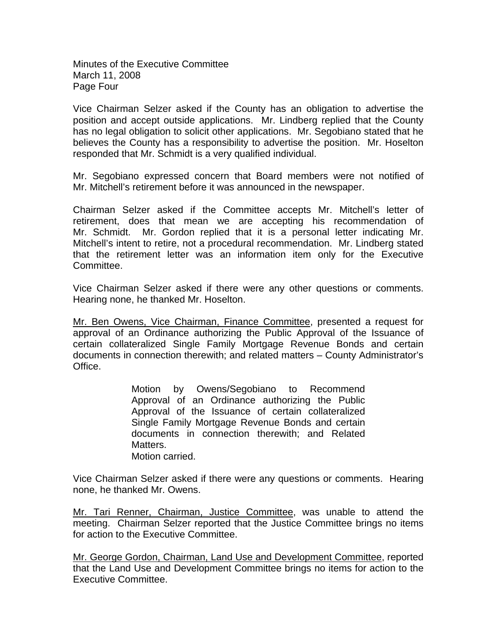Minutes of the Executive Committee March 11, 2008 Page Four

Vice Chairman Selzer asked if the County has an obligation to advertise the position and accept outside applications. Mr. Lindberg replied that the County has no legal obligation to solicit other applications. Mr. Segobiano stated that he believes the County has a responsibility to advertise the position. Mr. Hoselton responded that Mr. Schmidt is a very qualified individual.

Mr. Segobiano expressed concern that Board members were not notified of Mr. Mitchell's retirement before it was announced in the newspaper.

Chairman Selzer asked if the Committee accepts Mr. Mitchell's letter of retirement, does that mean we are accepting his recommendation of Mr. Schmidt. Mr. Gordon replied that it is a personal letter indicating Mr. Mitchell's intent to retire, not a procedural recommendation. Mr. Lindberg stated that the retirement letter was an information item only for the Executive Committee.

Vice Chairman Selzer asked if there were any other questions or comments. Hearing none, he thanked Mr. Hoselton.

Mr. Ben Owens, Vice Chairman, Finance Committee, presented a request for approval of an Ordinance authorizing the Public Approval of the Issuance of certain collateralized Single Family Mortgage Revenue Bonds and certain documents in connection therewith; and related matters – County Administrator's Office.

> Motion by Owens/Segobiano to Recommend Approval of an Ordinance authorizing the Public Approval of the Issuance of certain collateralized Single Family Mortgage Revenue Bonds and certain documents in connection therewith; and Related Matters. Motion carried.

Vice Chairman Selzer asked if there were any questions or comments. Hearing none, he thanked Mr. Owens.

Mr. Tari Renner, Chairman, Justice Committee, was unable to attend the meeting. Chairman Selzer reported that the Justice Committee brings no items for action to the Executive Committee.

Mr. George Gordon, Chairman, Land Use and Development Committee, reported that the Land Use and Development Committee brings no items for action to the Executive Committee.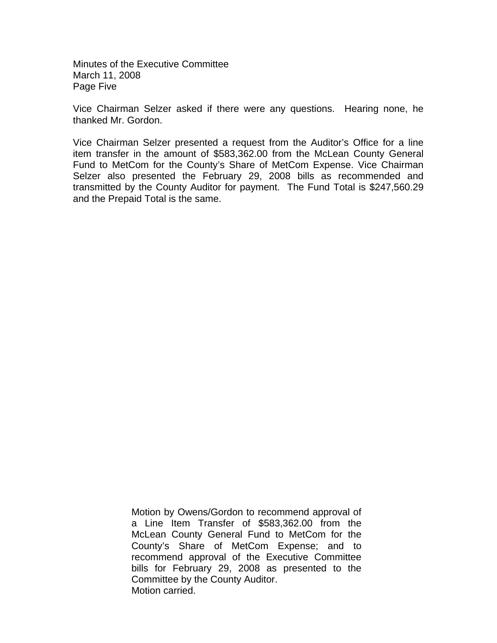Minutes of the Executive Committee March 11, 2008 Page Five

Vice Chairman Selzer asked if there were any questions. Hearing none, he thanked Mr. Gordon.

Vice Chairman Selzer presented a request from the Auditor's Office for a line item transfer in the amount of \$583,362.00 from the McLean County General Fund to MetCom for the County's Share of MetCom Expense. Vice Chairman Selzer also presented the February 29, 2008 bills as recommended and transmitted by the County Auditor for payment. The Fund Total is \$247,560.29 and the Prepaid Total is the same.

> Motion by Owens/Gordon to recommend approval of a Line Item Transfer of \$583,362.00 from the McLean County General Fund to MetCom for the County's Share of MetCom Expense; and to recommend approval of the Executive Committee bills for February 29, 2008 as presented to the Committee by the County Auditor. Motion carried.